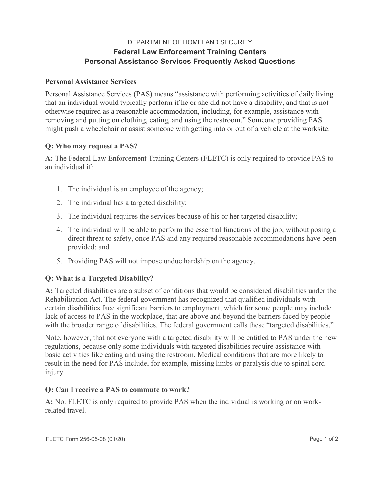## DEPARTMENT OF HOMELAND SECURITY **Federal Law Enforcement Training Centers Personal Assistance Services Frequently Asked Questions**

### **Personal Assistance Services**

Personal Assistance Services (PAS) means "assistance with performing activities of daily living that an individual would typically perform if he or she did not have a disability, and that is not otherwise required as a reasonable accommodation, including, for example, assistance with removing and putting on clothing, eating, and using the restroom." Someone providing PAS might push a wheelchair or assist someone with getting into or out of a vehicle at the worksite.

# **Q: Who may request a PAS?**

**A:** The Federal Law Enforcement Training Centers (FLETC) is only required to provide PAS to an individual if:

- 1. The individual is an employee of the agency;
- 2. The individual has a targeted disability;
- 3. The individual requires the services because of his or her targeted disability;
- 4. The individual will be able to perform the essential functions of the job, without posing a direct threat to safety, once PAS and any required reasonable accommodations have been provided; and
- 5. Providing PAS will not impose undue hardship on the agency.

### **Q: What is a Targeted Disability?**

**A:** Targeted disabilities are a subset of conditions that would be considered disabilities under the Rehabilitation Act. The federal government has recognized that qualified individuals with certain disabilities face significant barriers to employment, which for some people may include lack of access to PAS in the workplace, that are above and beyond the barriers faced by people with the broader range of disabilities. The federal government calls these "targeted disabilities."

Note, however, that not everyone with a targeted disability will be entitled to PAS under the new regulations, because only some individuals with targeted disabilities require assistance with basic activities like eating and using the restroom. Medical conditions that are more likely to result in the need for PAS include, for example, missing limbs or paralysis due to spinal cord injury.

### **Q: Can I receive a PAS to commute to work?**

**A:** No. FLETC is only required to provide PAS when the individual is working or on workrelated travel.